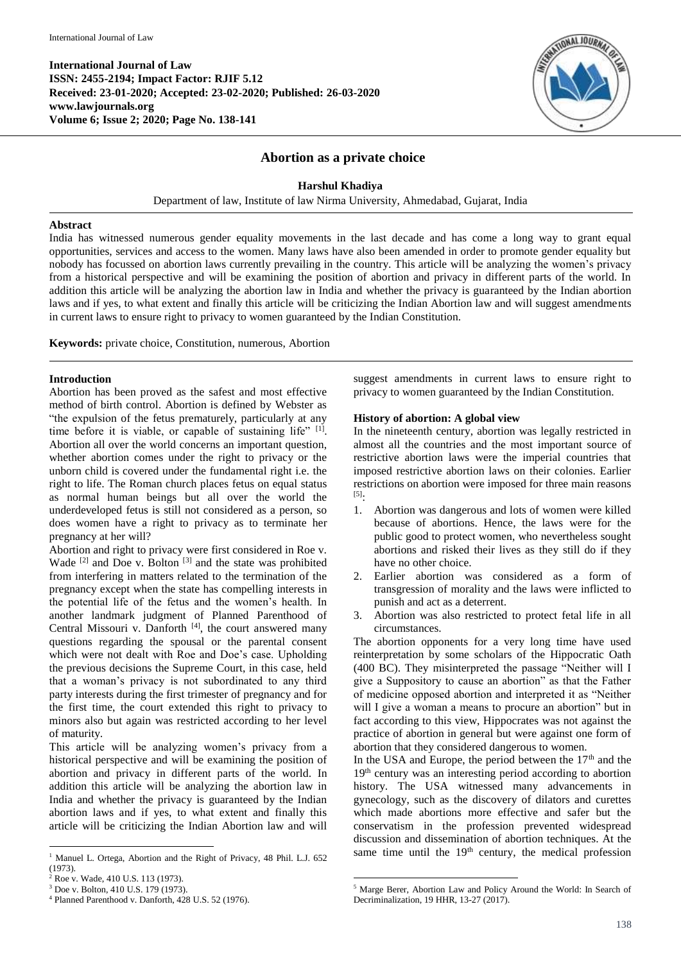

# **Abortion as a private choice**

### **Harshul Khadiya**

Department of law, Institute of law Nirma University, Ahmedabad, Gujarat, India

#### **Abstract**

India has witnessed numerous gender equality movements in the last decade and has come a long way to grant equal opportunities, services and access to the women. Many laws have also been amended in order to promote gender equality but nobody has focussed on abortion laws currently prevailing in the country. This article will be analyzing the women's privacy from a historical perspective and will be examining the position of abortion and privacy in different parts of the world. In addition this article will be analyzing the abortion law in India and whether the privacy is guaranteed by the Indian abortion laws and if yes, to what extent and finally this article will be criticizing the Indian Abortion law and will suggest amendments in current laws to ensure right to privacy to women guaranteed by the Indian Constitution.

**.** 

**Keywords:** private choice, Constitution, numerous, Abortion

#### **Introduction**

Abortion has been proved as the safest and most effective method of birth control. Abortion is defined by Webster as "the expulsion of the fetus prematurely, particularly at any time before it is viable, or capable of sustaining life" [1]. Abortion all over the world concerns an important question, whether abortion comes under the right to privacy or the unborn child is covered under the fundamental right i.e. the right to life. The Roman church places fetus on equal status as normal human beings but all over the world the underdeveloped fetus is still not considered as a person, so does women have a right to privacy as to terminate her pregnancy at her will?

Abortion and right to privacy were first considered in Roe v. Wade  $[2]$  and Doe v. Bolton  $[3]$  and the state was prohibited from interfering in matters related to the termination of the pregnancy except when the state has compelling interests in the potential life of the fetus and the women's health. In another landmark judgment of Planned Parenthood of Central Missouri v. Danforth<sup>[4]</sup>, the court answered many questions regarding the spousal or the parental consent which were not dealt with Roe and Doe's case. Upholding the previous decisions the Supreme Court, in this case, held that a woman's privacy is not subordinated to any third party interests during the first trimester of pregnancy and for the first time, the court extended this right to privacy to minors also but again was restricted according to her level of maturity.

This article will be analyzing women's privacy from a historical perspective and will be examining the position of abortion and privacy in different parts of the world. In addition this article will be analyzing the abortion law in India and whether the privacy is guaranteed by the Indian abortion laws and if yes, to what extent and finally this article will be criticizing the Indian Abortion law and will

1

suggest amendments in current laws to ensure right to privacy to women guaranteed by the Indian Constitution.

## **History of abortion: A global view**

In the nineteenth century, abortion was legally restricted in almost all the countries and the most important source of restrictive abortion laws were the imperial countries that imposed restrictive abortion laws on their colonies. Earlier restrictions on abortion were imposed for three main reasons  $^{[5]}$ :

- 1. Abortion was dangerous and lots of women were killed because of abortions. Hence, the laws were for the public good to protect women, who nevertheless sought abortions and risked their lives as they still do if they have no other choice.
- 2. Earlier abortion was considered as a form of transgression of morality and the laws were inflicted to punish and act as a deterrent.
- 3. Abortion was also restricted to protect fetal life in all circumstances.

The abortion opponents for a very long time have used reinterpretation by some scholars of the Hippocratic Oath (400 BC). They misinterpreted the passage "Neither will I give a Suppository to cause an abortion" as that the Father of medicine opposed abortion and interpreted it as "Neither will I give a woman a means to procure an abortion" but in fact according to this view, Hippocrates was not against the practice of abortion in general but were against one form of abortion that they considered dangerous to women.

In the USA and Europe, the period between the  $17<sup>th</sup>$  and the 19<sup>th</sup> century was an interesting period according to abortion history. The USA witnessed many advancements in gynecology, such as the discovery of dilators and curettes which made abortions more effective and safer but the conservatism in the profession prevented widespread discussion and dissemination of abortion techniques. At the same time until the  $19<sup>th</sup>$  century, the medical profession

<sup>&</sup>lt;sup>1</sup> Manuel L. Ortega, Abortion and the Right of Privacy, 48 Phil. L.J. 652 (1973).

<sup>2</sup> Roe v. Wade, 410 U.S. 113 (1973).

<sup>3</sup> Doe v. Bolton, 410 U.S. 179 (1973).

<sup>4</sup> Planned Parenthood v. Danforth, 428 U.S. 52 (1976).

<sup>5</sup> Marge Berer, Abortion Law and Policy Around the World: In Search of Decriminalization, 19 HHR, 13-27 (2017).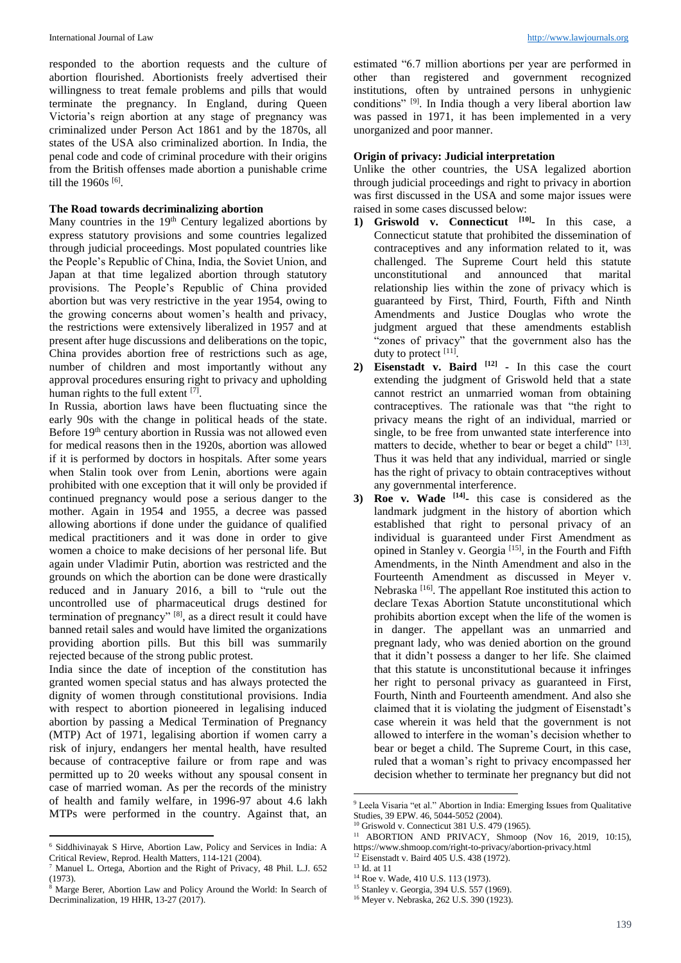responded to the abortion requests and the culture of abortion flourished. Abortionists freely advertised their willingness to treat female problems and pills that would terminate the pregnancy. In England, during Queen Victoria's reign abortion at any stage of pregnancy was criminalized under Person Act 1861 and by the 1870s, all states of the USA also criminalized abortion. In India, the penal code and code of criminal procedure with their origins from the British offenses made abortion a punishable crime till the  $1960s^{[6]}$ .

### **The Road towards decriminalizing abortion**

Many countries in the  $19<sup>th</sup>$  Century legalized abortions by express statutory provisions and some countries legalized through judicial proceedings. Most populated countries like the People's Republic of China, India, the Soviet Union, and Japan at that time legalized abortion through statutory provisions. The People's Republic of China provided abortion but was very restrictive in the year 1954, owing to the growing concerns about women's health and privacy, the restrictions were extensively liberalized in 1957 and at present after huge discussions and deliberations on the topic, China provides abortion free of restrictions such as age, number of children and most importantly without any approval procedures ensuring right to privacy and upholding human rights to the full extent [7].

In Russia, abortion laws have been fluctuating since the early 90s with the change in political heads of the state. Before 19<sup>th</sup> century abortion in Russia was not allowed even for medical reasons then in the 1920s, abortion was allowed if it is performed by doctors in hospitals. After some years when Stalin took over from Lenin, abortions were again prohibited with one exception that it will only be provided if continued pregnancy would pose a serious danger to the mother. Again in 1954 and 1955, a decree was passed allowing abortions if done under the guidance of qualified medical practitioners and it was done in order to give women a choice to make decisions of her personal life. But again under Vladimir Putin, abortion was restricted and the grounds on which the abortion can be done were drastically reduced and in January 2016, a bill to "rule out the uncontrolled use of pharmaceutical drugs destined for termination of pregnancy"<sup>[8]</sup>, as a direct result it could have banned retail sales and would have limited the organizations providing abortion pills. But this bill was summarily rejected because of the strong public protest.

India since the date of inception of the constitution has granted women special status and has always protected the dignity of women through constitutional provisions. India with respect to abortion pioneered in legalising induced abortion by passing a Medical Termination of Pregnancy (MTP) Act of 1971, legalising abortion if women carry a risk of injury, endangers her mental health, have resulted because of contraceptive failure or from rape and was permitted up to 20 weeks without any spousal consent in case of married woman. As per the records of the ministry of health and family welfare, in 1996-97 about 4.6 lakh MTPs were performed in the country. Against that, an

**.** 

estimated "6.7 million abortions per year are performed in other than registered and government recognized institutions, often by untrained persons in unhygienic conditions"<sup>[9]</sup>. In India though a very liberal abortion law was passed in 1971, it has been implemented in a very unorganized and poor manner.

## **Origin of privacy: Judicial interpretation**

Unlike the other countries, the USA legalized abortion through judicial proceedings and right to privacy in abortion was first discussed in the USA and some major issues were raised in some cases discussed below:

- **1) Griswold v. Connecticut [10] -** In this case, a Connecticut statute that prohibited the dissemination of contraceptives and any information related to it, was challenged. The Supreme Court held this statute unconstitutional and announced that marital relationship lies within the zone of privacy which is guaranteed by First, Third, Fourth, Fifth and Ninth Amendments and Justice Douglas who wrote the judgment argued that these amendments establish "zones of privacy" that the government also has the duty to protect [11].
- **2) Eisenstadt v. Baird [12] -** In this case the court extending the judgment of Griswold held that a state cannot restrict an unmarried woman from obtaining contraceptives. The rationale was that "the right to privacy means the right of an individual, married or single, to be free from unwanted state interference into matters to decide, whether to bear or beget a child" [13]. Thus it was held that any individual, married or single has the right of privacy to obtain contraceptives without any governmental interference.
- **3) Roe v. Wade [14] -** this case is considered as the landmark judgment in the history of abortion which established that right to personal privacy of an individual is guaranteed under First Amendment as opined in Stanley v. Georgia<sup>[15]</sup>, in the Fourth and Fifth Amendments, in the Ninth Amendment and also in the Fourteenth Amendment as discussed in Meyer v. Nebraska<sup>[16]</sup>. The appellant Roe instituted this action to declare Texas Abortion Statute unconstitutional which prohibits abortion except when the life of the women is in danger. The appellant was an unmarried and pregnant lady, who was denied abortion on the ground that it didn't possess a danger to her life. She claimed that this statute is unconstitutional because it infringes her right to personal privacy as guaranteed in First, Fourth, Ninth and Fourteenth amendment. And also she claimed that it is violating the judgment of Eisenstadt's case wherein it was held that the government is not allowed to interfere in the woman's decision whether to bear or beget a child. The Supreme Court, in this case, ruled that a woman's right to privacy encompassed her decision whether to terminate her pregnancy but did not

**.** 

<sup>6</sup> Siddhivinayak S Hirve, Abortion Law, Policy and Services in India: A Critical Review, Reprod. Health Matters, 114-121 (2004).

<sup>7</sup> Manuel L. Ortega, Abortion and the Right of Privacy, 48 Phil. L.J. 652 (1973).

<sup>8</sup> Marge Berer, Abortion Law and Policy Around the World: In Search of Decriminalization, 19 HHR, 13-27 (2017).

<sup>9</sup> Leela Visaria "et al." Abortion in India: Emerging Issues from Qualitative Studies, 39 EPW. 46, 5044-5052 (2004).

<sup>&</sup>lt;sup>10</sup> Griswold v. Connecticut 381 U.S. 479 (1965).

<sup>&</sup>lt;sup>11</sup> ABORTION AND PRIVACY, Shmoop (Nov 16, 2019, 10:15), https://www.shmoop.com/right-to-privacy/abortion-privacy.html <sup>12</sup> Eisenstadt v. Baird 405 U.S. 438 (1972).

<sup>13</sup> Id. at 11

<sup>&</sup>lt;sup>14</sup> Roe v. Wade, 410 U.S. 113 (1973).

<sup>15</sup> Stanley v. Georgia, 394 U.S. 557 (1969).

<sup>16</sup> Meyer v. Nebraska, 262 U.S. 390 (1923).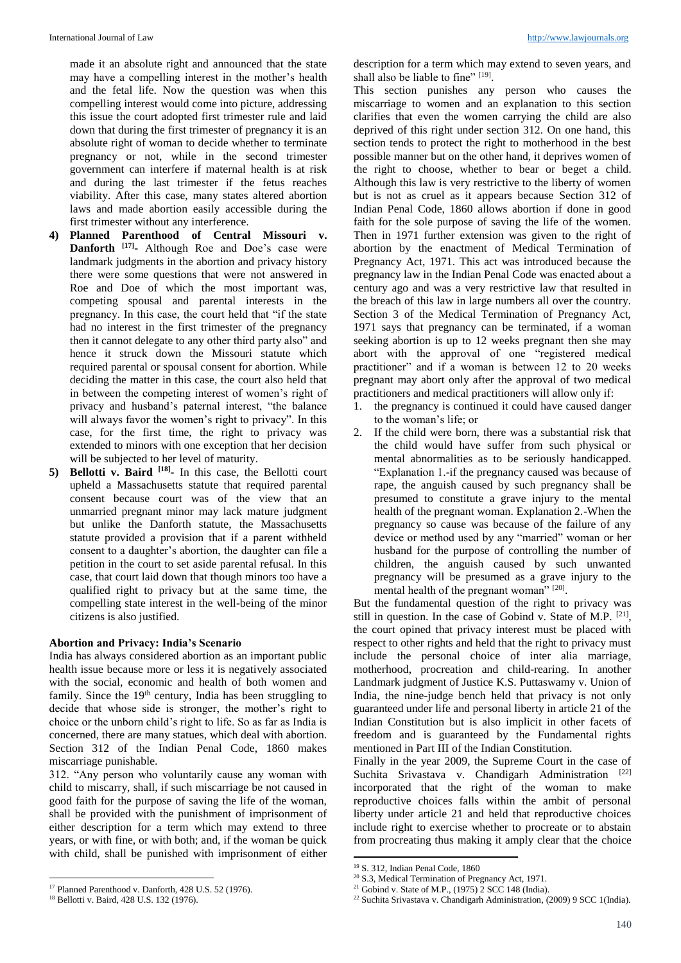made it an absolute right and announced that the state may have a compelling interest in the mother's health and the fetal life. Now the question was when this compelling interest would come into picture, addressing this issue the court adopted first trimester rule and laid down that during the first trimester of pregnancy it is an absolute right of woman to decide whether to terminate pregnancy or not, while in the second trimester government can interfere if maternal health is at risk and during the last trimester if the fetus reaches viability. After this case, many states altered abortion laws and made abortion easily accessible during the first trimester without any interference.

- **4) Planned Parenthood of Central Missouri v. Danforth [17] -** Although Roe and Doe's case were landmark judgments in the abortion and privacy history there were some questions that were not answered in Roe and Doe of which the most important was, competing spousal and parental interests in the pregnancy. In this case, the court held that "if the state had no interest in the first trimester of the pregnancy then it cannot delegate to any other third party also" and hence it struck down the Missouri statute which required parental or spousal consent for abortion. While deciding the matter in this case, the court also held that in between the competing interest of women's right of privacy and husband's paternal interest, "the balance will always favor the women's right to privacy". In this case, for the first time, the right to privacy was extended to minors with one exception that her decision will be subjected to her level of maturity.
- **5) Bellotti v. Baird [18] -** In this case, the Bellotti court upheld a Massachusetts statute that required parental consent because court was of the view that an unmarried pregnant minor may lack mature judgment but unlike the Danforth statute, the Massachusetts statute provided a provision that if a parent withheld consent to a daughter's abortion, the daughter can file a petition in the court to set aside parental refusal. In this case, that court laid down that though minors too have a qualified right to privacy but at the same time, the compelling state interest in the well-being of the minor citizens is also justified.

#### **Abortion and Privacy: India's Scenario**

India has always considered abortion as an important public health issue because more or less it is negatively associated with the social, economic and health of both women and family. Since the  $19<sup>th</sup>$  century, India has been struggling to decide that whose side is stronger, the mother's right to choice or the unborn child's right to life. So as far as India is concerned, there are many statues, which deal with abortion. Section 312 of the Indian Penal Code, 1860 makes miscarriage punishable.

312. "Any person who voluntarily cause any woman with child to miscarry, shall, if such miscarriage be not caused in good faith for the purpose of saving the life of the woman, shall be provided with the punishment of imprisonment of either description for a term which may extend to three years, or with fine, or with both; and, if the woman be quick with child, shall be punished with imprisonment of either

**.** 

description for a term which may extend to seven years, and shall also be liable to fine"  $[19]$ .

This section punishes any person who causes the miscarriage to women and an explanation to this section clarifies that even the women carrying the child are also deprived of this right under section 312. On one hand, this section tends to protect the right to motherhood in the best possible manner but on the other hand, it deprives women of the right to choose, whether to bear or beget a child. Although this law is very restrictive to the liberty of women but is not as cruel as it appears because Section 312 of Indian Penal Code, 1860 allows abortion if done in good faith for the sole purpose of saving the life of the women. Then in 1971 further extension was given to the right of abortion by the enactment of Medical Termination of Pregnancy Act, 1971. This act was introduced because the pregnancy law in the Indian Penal Code was enacted about a century ago and was a very restrictive law that resulted in the breach of this law in large numbers all over the country. Section 3 of the Medical Termination of Pregnancy Act, 1971 says that pregnancy can be terminated, if a woman seeking abortion is up to 12 weeks pregnant then she may abort with the approval of one "registered medical practitioner" and if a woman is between 12 to 20 weeks pregnant may abort only after the approval of two medical practitioners and medical practitioners will allow only if:

- 1. the pregnancy is continued it could have caused danger to the woman's life; or
- 2. If the child were born, there was a substantial risk that the child would have suffer from such physical or mental abnormalities as to be seriously handicapped. "Explanation 1.-if the pregnancy caused was because of rape, the anguish caused by such pregnancy shall be presumed to constitute a grave injury to the mental health of the pregnant woman. Explanation 2.-When the pregnancy so cause was because of the failure of any device or method used by any "married" woman or her husband for the purpose of controlling the number of children, the anguish caused by such unwanted pregnancy will be presumed as a grave injury to the mental health of the pregnant woman" [20].

But the fundamental question of the right to privacy was still in question. In the case of Gobind v. State of M.P. <sup>[21]</sup>, the court opined that privacy interest must be placed with respect to other rights and held that the right to privacy must include the personal choice of inter alia marriage, motherhood, procreation and child-rearing. In another Landmark judgment of Justice K.S. Puttaswamy v. Union of India, the nine-judge bench held that privacy is not only guaranteed under life and personal liberty in article 21 of the Indian Constitution but is also implicit in other facets of freedom and is guaranteed by the Fundamental rights mentioned in Part III of the Indian Constitution.

Finally in the year 2009, the Supreme Court in the case of Suchita Srivastava v. Chandigarh Administration [22] incorporated that the right of the woman to make reproductive choices falls within the ambit of personal liberty under article 21 and held that reproductive choices include right to exercise whether to procreate or to abstain from procreating thus making it amply clear that the choice

**.** 

<sup>17</sup> Planned Parenthood v. Danforth, 428 U.S. 52 (1976).

<sup>18</sup> Bellotti v. Baird, 428 U.S. 132 (1976).

<sup>19</sup> S. 312, Indian Penal Code, 1860

<sup>20</sup> S.3, Medical Termination of Pregnancy Act, 1971.

 $21$  Gobind v. State of M.P., (1975) 2 SCC 148 (India).

<sup>22</sup> Suchita Srivastava v. Chandigarh Administration, (2009) 9 SCC 1(India).